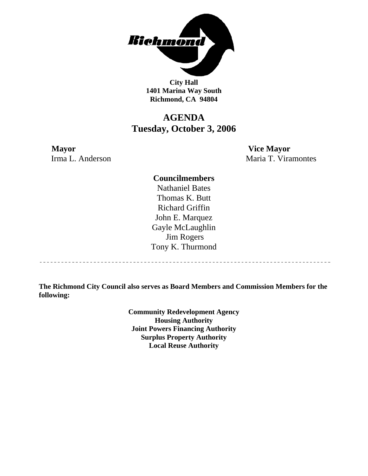

**City Hall 1401 Marina Way South Richmond, CA 94804** 

# **AGENDA Tuesday, October 3, 2006**

**Mayor Vice Mayor** Irma L. Anderson Maria T. Viramontes

# **Councilmembers**

Nathaniel Bates Thomas K. Butt Richard Griffin John E. Marquez Gayle McLaughlin Jim Rogers Tony K. Thurmond

----------------------------------

**The Richmond City Council also serves as Board Members and Commission Members for the following:** 

> **Community Redevelopment Agency Housing Authority Joint Powers Financing Authority Surplus Property Authority Local Reuse Authority**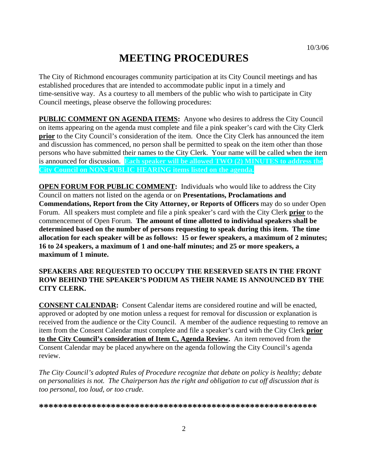# **MEETING PROCEDURES**

The City of Richmond encourages community participation at its City Council meetings and has established procedures that are intended to accommodate public input in a timely and time-sensitive way. As a courtesy to all members of the public who wish to participate in City Council meetings, please observe the following procedures:

**PUBLIC COMMENT ON AGENDA ITEMS:** Anyone who desires to address the City Council on items appearing on the agenda must complete and file a pink speaker's card with the City Clerk **prior** to the City Council's consideration of the item. Once the City Clerk has announced the item and discussion has commenced, no person shall be permitted to speak on the item other than those persons who have submitted their names to the City Clerk. Your name will be called when the item is announced for discussion. **Each speaker will be allowed TWO (2) MINUTES to address the City Council on NON-PUBLIC HEARING items listed on the agenda.** 

**OPEN FORUM FOR PUBLIC COMMENT:** Individuals who would like to address the City Council on matters not listed on the agenda or on **Presentations, Proclamations and Commendations, Report from the City Attorney, or Reports of Officers** may do so under Open Forum. All speakers must complete and file a pink speaker's card with the City Clerk **prior** to the commencement of Open Forum. **The amount of time allotted to individual speakers shall be determined based on the number of persons requesting to speak during this item. The time allocation for each speaker will be as follows: 15 or fewer speakers, a maximum of 2 minutes; 16 to 24 speakers, a maximum of 1 and one-half minutes; and 25 or more speakers, a maximum of 1 minute.** 

# **SPEAKERS ARE REQUESTED TO OCCUPY THE RESERVED SEATS IN THE FRONT ROW BEHIND THE SPEAKER'S PODIUM AS THEIR NAME IS ANNOUNCED BY THE CITY CLERK.**

**CONSENT CALENDAR:** Consent Calendar items are considered routine and will be enacted, approved or adopted by one motion unless a request for removal for discussion or explanation is received from the audience or the City Council. A member of the audience requesting to remove an item from the Consent Calendar must complete and file a speaker's card with the City Clerk **prior to the City Council's consideration of Item C, Agenda Review.** An item removed from the Consent Calendar may be placed anywhere on the agenda following the City Council's agenda review.

*The City Council's adopted Rules of Procedure recognize that debate on policy is healthy; debate on personalities is not. The Chairperson has the right and obligation to cut off discussion that is too personal, too loud, or too crude.* 

**\*\*\*\*\*\*\*\*\*\*\*\*\*\*\*\*\*\*\*\*\*\*\*\*\*\*\*\*\*\*\*\*\*\*\*\*\*\*\*\*\*\*\*\*\*\*\*\*\*\*\*\*\*\*\*\*\*\***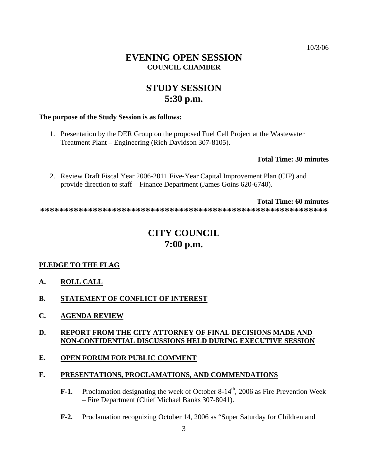# **EVENING OPEN SESSION COUNCIL CHAMBER**

# **STUDY SESSION 5:30 p.m.**

### **The purpose of the Study Session is as follows:**

1. Presentation by the DER Group on the proposed Fuel Cell Project at the Wastewater Treatment Plant – Engineering (Rich Davidson 307-8105).

## **Total Time: 30 minutes**

2. Review Draft Fiscal Year 2006-2011 Five-Year Capital Improvement Plan (CIP) and provide direction to staff – Finance Department (James Goins 620-6740).

**Total Time: 60 minutes** 

**\*\*\*\*\*\*\*\*\*\*\*\*\*\*\*\*\*\*\*\*\*\*\*\*\*\*\*\*\*\*\*\*\*\*\*\*\*\*\*\*\*\*\*\*\*\*\*\*\*\*\*\*\*\*\*\*\*\*\*\*** 

# **CITY COUNCIL 7:00 p.m.**

# **PLEDGE TO THE FLAG**

- **A. ROLL CALL**
- **B. STATEMENT OF CONFLICT OF INTEREST**
- **C. AGENDA REVIEW**

# **D. REPORT FROM THE CITY ATTORNEY OF FINAL DECISIONS MADE AND NON-CONFIDENTIAL DISCUSSIONS HELD DURING EXECUTIVE SESSION**

# **E. OPEN FORUM FOR PUBLIC COMMENT**

# **F. PRESENTATIONS, PROCLAMATIONS, AND COMMENDATIONS**

- **F-1.** Proclamation designating the week of October 8-14<sup>th</sup>, 2006 as Fire Prevention Week – Fire Department (Chief Michael Banks 307-8041).
- **F-2.** Proclamation recognizing October 14, 2006 as "Super Saturday for Children and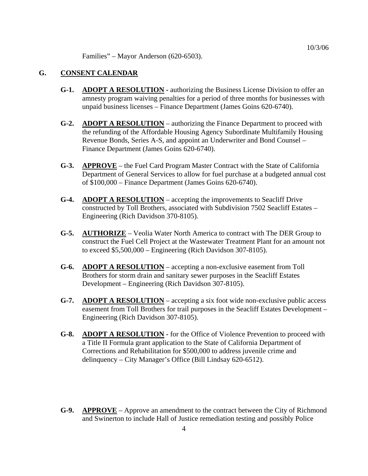Families" – Mayor Anderson (620-6503).

# **G. CONSENT CALENDAR**

- **G-1. ADOPT A RESOLUTION** authorizing the Business License Division to offer an amnesty program waiving penalties for a period of three months for businesses with unpaid business licenses – Finance Department (James Goins 620-6740).
- **G-2. ADOPT A RESOLUTION** authorizing the Finance Department to proceed with the refunding of the Affordable Housing Agency Subordinate Multifamily Housing Revenue Bonds, Series A-S, and appoint an Underwriter and Bond Counsel – Finance Department (James Goins 620-6740).
- **G-3. APPROVE** the Fuel Card Program Master Contract with the State of California Department of General Services to allow for fuel purchase at a budgeted annual cost of \$100,000 – Finance Department (James Goins 620-6740).
- **G-4. ADOPT A RESOLUTION** accepting the improvements to Seacliff Drive constructed by Toll Brothers, associated with Subdivision 7502 Seacliff Estates – Engineering (Rich Davidson 370-8105).
- **G-5. AUTHORIZE** Veolia Water North America to contract with The DER Group to construct the Fuel Cell Project at the Wastewater Treatment Plant for an amount not to exceed \$5,500,000 – Engineering (Rich Davidson 307-8105).
- **G-6. ADOPT A RESOLUTION** accepting a non-exclusive easement from Toll Brothers for storm drain and sanitary sewer purposes in the Seacliff Estates Development – Engineering (Rich Davidson 307-8105).
- **G-7. ADOPT A RESOLUTION** accepting a six foot wide non-exclusive public access easement from Toll Brothers for trail purposes in the Seacliff Estates Development – Engineering (Rich Davidson 307-8105).
- **G-8. ADOPT A RESOLUTION -** for the Office of Violence Prevention to proceed with a Title II Formula grant application to the State of California Department of Corrections and Rehabilitation for \$500,000 to address juvenile crime and delinquency – City Manager's Office (Bill Lindsay 620-6512).
- **G-9. APPROVE** Approve an amendment to the contract between the City of Richmond and Swinerton to include Hall of Justice remediation testing and possibly Police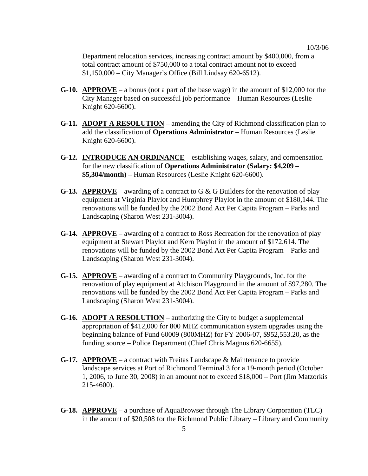Department relocation services, increasing contract amount by \$400,000, from a total contract amount of \$750,000 to a total contract amount not to exceed \$1,150,000 – City Manager's Office (Bill Lindsay 620-6512).

- **G-10. APPROVE** a bonus (not a part of the base wage) in the amount of \$12,000 for the City Manager based on successful job performance – Human Resources (Leslie Knight 620-6600).
- **G-11. ADOPT A RESOLUTION** amending the City of Richmond classification plan to add the classification of **Operations Administrator** – Human Resources (Leslie Knight 620-6600).
- **G-12. INTRODUCE AN ORDINANCE** establishing wages, salary, and compensation for the new classification of **Operations Administrator (Salary: \$4,209 – \$5,304/month)** – Human Resources (Leslie Knight 620-6600).
- **G-13. APPROVE** awarding of a contract to G & G Builders for the renovation of play equipment at Virginia Playlot and Humphrey Playlot in the amount of \$180,144. The renovations will be funded by the 2002 Bond Act Per Capita Program – Parks and Landscaping (Sharon West 231-3004).
- **G-14. APPROVE** awarding of a contract to Ross Recreation for the renovation of play equipment at Stewart Playlot and Kern Playlot in the amount of \$172,614. The renovations will be funded by the 2002 Bond Act Per Capita Program – Parks and Landscaping (Sharon West 231-3004).
- **G-15. APPROVE** awarding of a contract to Community Playgrounds, Inc. for the renovation of play equipment at Atchison Playground in the amount of \$97,280. The renovations will be funded by the 2002 Bond Act Per Capita Program – Parks and Landscaping (Sharon West 231-3004).
- **G-16. ADOPT A RESOLUTION** authorizing the City to budget a supplemental appropriation of \$412,000 for 800 MHZ communication system upgrades using the beginning balance of Fund 60009 (800MHZ) for FY 2006-07, \$952,553.20, as the funding source – Police Department (Chief Chris Magnus 620-6655).
- **G-17. APPROVE** a contract with Freitas Landscape & Maintenance to provide landscape services at Port of Richmond Terminal 3 for a 19-month period (October 1, 2006, to June 30, 2008) in an amount not to exceed \$18,000 – Port (Jim Matzorkis 215-4600).
- **G-18. APPROVE** a purchase of AquaBrowser through The Library Corporation (TLC) in the amount of \$20,508 for the Richmond Public Library – Library and Community